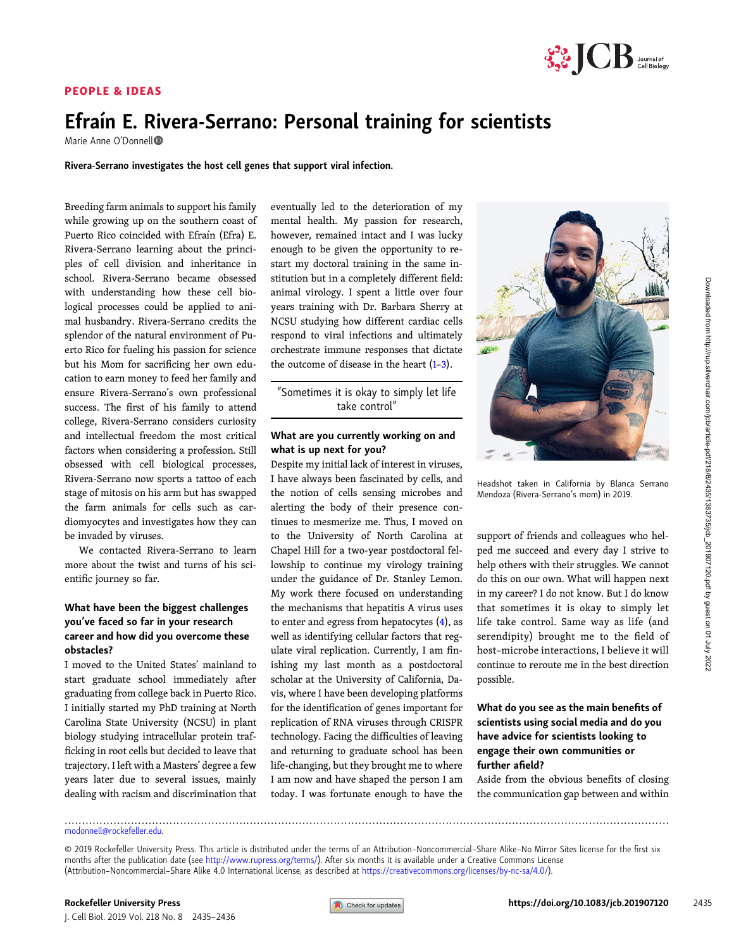## PEOPLE & IDEAS



# Efraín E. [Riv](https://orcid.org/0000-0003-4132-133X)era-Serrano: Personal training for scientists

Marie Anne O'Donnell

Rivera-Serrano investigates the host cell genes that support viral infection.

Breeding farm animals to support his family while growing up on the southern coast of Puerto Rico coincided with Efraín (Efra) E. Rivera-Serrano learning about the principles of cell division and inheritance in school. Rivera-Serrano became obsessed with understanding how these cell biological processes could be applied to animal husbandry. Rivera-Serrano credits the splendor of the natural environment of Puerto Rico for fueling his passion for science but his Mom for sacrificing her own education to earn money to feed her family and ensure Rivera-Serrano's own professional success. The first of his family to attend college, Rivera-Serrano considers curiosity and intellectual freedom the most critical factors when considering a profession. Still obsessed with cell biological processes, Rivera-Serrano now sports a tattoo of each stage of mitosis on his arm but has swapped the farm animals for cells such as cardiomyocytes and investigates how they can be invaded by viruses.

We contacted Rivera-Serrano to learn more about the twist and turns of his scientific journey so far.

# What have been the biggest challenges you've faced so far in your research career and how did you overcome these obstacles?

I moved to the United States' mainland to start graduate school immediately after graduating from college back in Puerto Rico. I initially started my PhD training at North Carolina State University (NCSU) in plant biology studying intracellular protein trafficking in root cells but decided to leave that trajectory. I left with a Masters' degree a few years later due to several issues, mainly dealing with racism and discrimination that

eventually led to the deterioration of my mental health. My passion for research, however, remained intact and I was lucky enough to be given the opportunity to restart my doctoral training in the same institution but in a completely different field: animal virology. I spent a little over four years training with Dr. Barbara Sherry at NCSU studying how different cardiac cells respond to viral infections and ultimately orchestrate immune responses that dictate the outcome of disease in the heart  $(1-3)$  $(1-3)$  $(1-3)$  $(1-3)$ .

"Sometimes it is okay to simply let life take control"

#### What are you currently working on and what is up next for you?

Despite my initial lack of interest in viruses, I have always been fascinated by cells, and the notion of cells sensing microbes and alerting the body of their presence continues to mesmerize me. Thus, I moved on to the University of North Carolina at Chapel Hill for a two-year postdoctoral fellowship to continue my virology training under the guidance of Dr. Stanley Lemon. My work there focused on understanding the mechanisms that hepatitis A virus uses to enter and egress from hepatocytes  $(4)$  $(4)$ , as well as identifying cellular factors that regulate viral replication. Currently, I am finishing my last month as a postdoctoral scholar at the University of California, Davis, where I have been developing platforms for the identification of genes important for replication of RNA viruses through CRISPR technology. Facing the difficulties of leaving and returning to graduate school has been life-changing, but they brought me to where I am now and have shaped the person I am today. I was fortunate enough to have the



Headshot taken in California by Blanca Serrano Mendoza (Rivera-Serrano's mom) in 2019.

support of friends and colleagues who helped me succeed and every day I strive to help others with their struggles. We cannot do this on our own. What will happen next in my career? I do not know. But I do know that sometimes it is okay to simply let life take control. Same way as life (and serendipity) brought me to the field of host–microbe interactions, I believe it will continue to reroute me in the best direction possible.

# What do you see as the main benefits of scientists using social media and do you have advice for scientists looking to engage their own communities or further afield?

Aside from the obvious benefits of closing the communication gap between and within

.............................................................................................................................................................................

[modonnell@rockefeller.edu.](mailto:modonnell@rockefeller.edu)

<sup>© 2019</sup> Rockefeller University Press. This article is distributed under the terms of an Attribution–Noncommercial–Share Alike–No Mirror Sites license for the first six months after the publication date (see [http://www.rupress.org/terms/\)](http://www.rupress.org/terms/). After six months it is available under a Creative Commons License (Attribution–Noncommercial–Share Alike 4.0 International license, as described at <https://creativecommons.org/licenses/by-nc-sa/4.0/>).